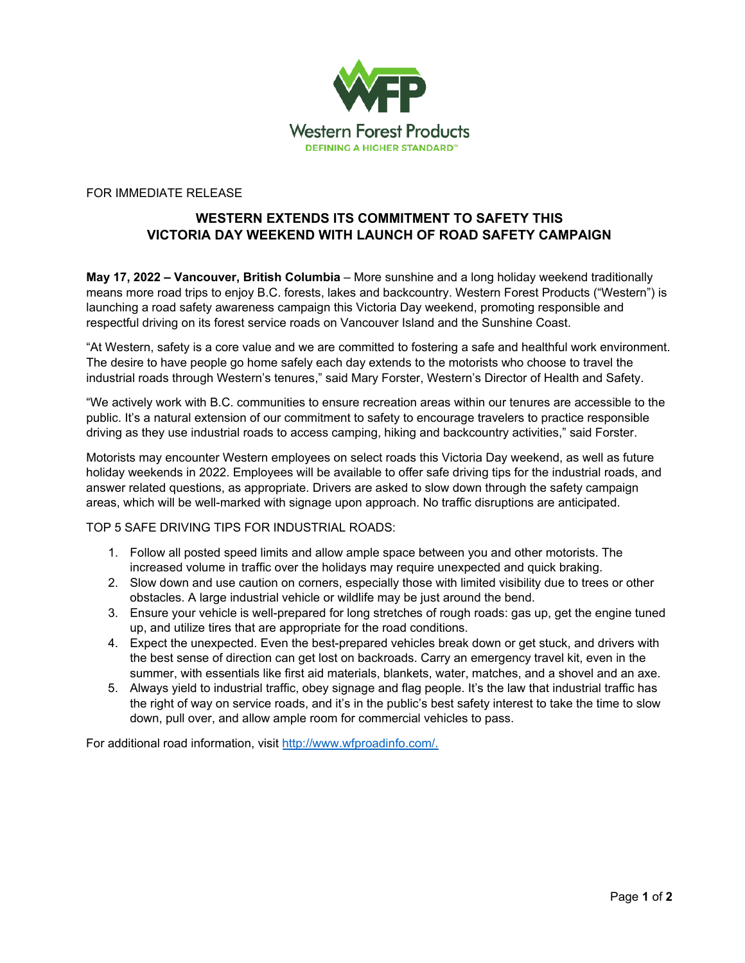

FOR IMMEDIATE RELEASE

## **WESTERN EXTENDS ITS COMMITMENT TO SAFETY THIS VICTORIA DAY WEEKEND WITH LAUNCH OF ROAD SAFETY CAMPAIGN**

**May 17, 2022 – Vancouver, British Columbia** – More sunshine and a long holiday weekend traditionally means more road trips to enjoy B.C. forests, lakes and backcountry. Western Forest Products ("Western") is launching a road safety awareness campaign this Victoria Day weekend, promoting responsible and respectful driving on its forest service roads on Vancouver Island and the Sunshine Coast.

"At Western, safety is a core value and we are committed to fostering a safe and healthful work environment. The desire to have people go home safely each day extends to the motorists who choose to travel the industrial roads through Western's tenures," said Mary Forster, Western's Director of Health and Safety.

"We actively work with B.C. communities to ensure recreation areas within our tenures are accessible to the public. It's a natural extension of our commitment to safety to encourage travelers to practice responsible driving as they use industrial roads to access camping, hiking and backcountry activities," said Forster.

Motorists may encounter Western employees on select roads this Victoria Day weekend, as well as future holiday weekends in 2022. Employees will be available to offer safe driving tips for the industrial roads, and answer related questions, as appropriate. Drivers are asked to slow down through the safety campaign areas, which will be well-marked with signage upon approach. No traffic disruptions are anticipated.

TOP 5 SAFE DRIVING TIPS FOR INDUSTRIAL ROADS:

- 1. Follow all posted speed limits and allow ample space between you and other motorists. The increased volume in traffic over the holidays may require unexpected and quick braking.
- 2. Slow down and use caution on corners, especially those with limited visibility due to trees or other obstacles. A large industrial vehicle or wildlife may be just around the bend.
- 3. Ensure your vehicle is well-prepared for long stretches of rough roads: gas up, get the engine tuned up, and utilize tires that are appropriate for the road conditions.
- 4. Expect the unexpected. Even the best-prepared vehicles break down or get stuck, and drivers with the best sense of direction can get lost on backroads. Carry an emergency travel kit, even in the summer, with essentials like first aid materials, blankets, water, matches, and a shovel and an axe.
- 5. Always yield to industrial traffic, obey signage and flag people. It's the law that industrial traffic has the right of way on service roads, and it's in the public's best safety interest to take the time to slow down, pull over, and allow ample room for commercial vehicles to pass.

For additional road information, visit http://www.wfproadinfo.com/.